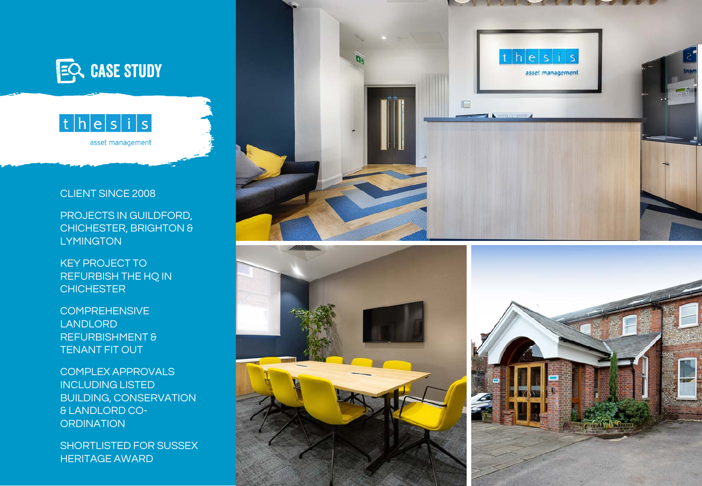



## CLIENT SINCE 2008

PROJECTS IN GUILDFORD, CHICHESTER, BRIGHTON & **LYMINGTON** 

KEY PROJECT TO REFURBISH THE HQ IN **CHICHESTER** 

**COMPREHENSIVE** LANDLORD REFURBISHMENT & TENANT FIT OUT

COMPLEX APPROVALS INCLUDING LISTED BUILDING, CONSERVATION & LANDLORD CO-**ORDINATION** 

SHORTLISTED FOR SUSSEX HERITAGE AWARD